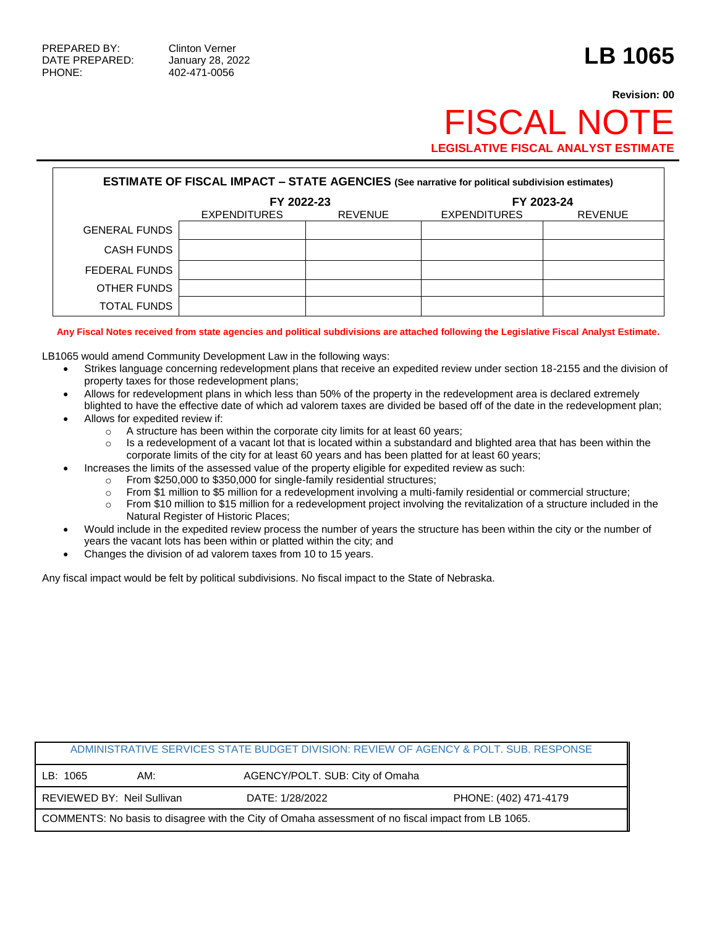PHONE: 402-471-0056

## **Revision: 00 FISCAL NOT LEGISLATIVE FISCAL ANALYST ESTIMATE**

| <b>ESTIMATE OF FISCAL IMPACT - STATE AGENCIES (See narrative for political subdivision estimates)</b> |                     |                |              |                |  |
|-------------------------------------------------------------------------------------------------------|---------------------|----------------|--------------|----------------|--|
|                                                                                                       | FY 2022-23          |                | FY 2023-24   |                |  |
|                                                                                                       | <b>EXPENDITURES</b> | <b>REVENUE</b> | EXPENDITURES | <b>REVENUE</b> |  |
| <b>GENERAL FUNDS</b>                                                                                  |                     |                |              |                |  |
| <b>CASH FUNDS</b>                                                                                     |                     |                |              |                |  |
| FEDERAL FUNDS                                                                                         |                     |                |              |                |  |
| OTHER FUNDS                                                                                           |                     |                |              |                |  |
| <b>TOTAL FUNDS</b>                                                                                    |                     |                |              |                |  |

**Any Fiscal Notes received from state agencies and political subdivisions are attached following the Legislative Fiscal Analyst Estimate.**

LB1065 would amend Community Development Law in the following ways:

- Strikes language concerning redevelopment plans that receive an expedited review under section 18-2155 and the division of property taxes for those redevelopment plans;
- Allows for redevelopment plans in which less than 50% of the property in the redevelopment area is declared extremely blighted to have the effective date of which ad valorem taxes are divided be based off of the date in the redevelopment plan;
- Allows for expedited review if:
	- o A structure has been within the corporate city limits for at least 60 years;
	- $\circ$  Is a redevelopment of a vacant lot that is located within a substandard and blighted area that has been within the corporate limits of the city for at least 60 years and has been platted for at least 60 years;
- Increases the limits of the assessed value of the property eligible for expedited review as such:
	- o From \$250,000 to \$350,000 for single-family residential structures;
	- $\circ$  From \$1 million to \$5 million for a redevelopment involving a multi-family residential or commercial structure;
	- $\circ$  From \$10 million to \$15 million for a redevelopment project involving the revitalization of a structure included in the Natural Register of Historic Places;
- Would include in the expedited review process the number of years the structure has been within the city or the number of years the vacant lots has been within or platted within the city; and
- Changes the division of ad valorem taxes from 10 to 15 years.

Any fiscal impact would be felt by political subdivisions. No fiscal impact to the State of Nebraska.

| ADMINISTRATIVE SERVICES STATE BUDGET DIVISION: REVIEW OF AGENCY & POLT. SUB. RESPONSE              |                              |                                 |                       |  |
|----------------------------------------------------------------------------------------------------|------------------------------|---------------------------------|-----------------------|--|
| LB: 1065                                                                                           | AM:                          | AGENCY/POLT. SUB: City of Omaha |                       |  |
|                                                                                                    | I REVIEWED BY: Neil Sullivan | DATE: 1/28/2022                 | PHONE: (402) 471-4179 |  |
| COMMENTS: No basis to disagree with the City of Omaha assessment of no fiscal impact from LB 1065. |                              |                                 |                       |  |